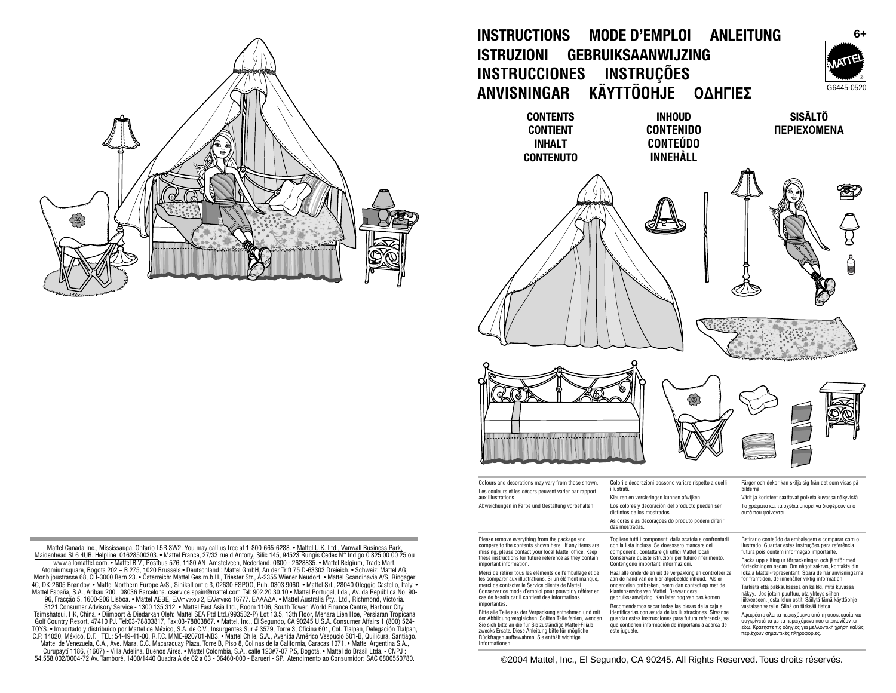

Mattel Canada Inc., Mississauga, Ontario L5R 3W2. You may call us free at 1-800-665-6288. • Mattel U.K. Ltd., Vanwall Business Park, Maidenhead SL6 4UB. Helpline 01628500303. • Mattel France, 27/33 rue d'Antony, Silic 145, 94523 Rungis Cedex N° Indigo 0 825 00 00 25 ou www.allomattel.com. • Mattel B.V., Postbus 576, 1180 AN Amstelveen, Nederland. 0800 - 2628835. • Mattel Belgium, Trade Mart, Monbijoustrasse 68, CH-3000 Bern 23. • Österreich: Mattel Ges.m.b.H., Triester Str., A-2355 Wiener Neudorf. • Mattel Scandinavia A/S, Ringager 4C, DK-2605 Brøndby. • Mattel Northern Europe A/S., Sinikalliontie 3, 02630 ESPOO, Puh. 0303 9060. • Mattel Srl., 28040 Oleggio Castello, Italy. • Mattel España, S.A., Aribau 200. 08036 Barcelona. cservice.spain@mattel.com Tel: 902.20.30.10 • Mattel Portugal, Lda., Av. da República No. 90- 96, Fracção 5, 1600-206 Lisboa. • Mattel AEBE, Ελληνικού 2, Ελληνικό 16777. ΕΛΛΑΔΑ. • Mattel Australia Pty., Ltd., Richmond, Victoria. 3121.Consumer Advisory Service - 1300 135 312. • Mattel East Asia Ltd., Room 1106, South Tower, World Finance Centre, Harbour City,

Tsimshatsui, HK, China. • Diimport & Diedarkan Oleh: Mattel SEA Ptd Ltd.(993532-P) Lot 13.5, 13th Floor, Menara Lien Hoe, Persiaran Tropicana Golf Country Resort, 47410 PJ. Tel:03-78803817, Fax:03-78803867. • Mattel, Inc., El Segundo, CA 90245 U.S.A. Consumer Affairs 1 (800) 524-<br>TOYS. • Importado y distribuido por Mattel de México, S.A. de C.V., Insurgentes Su C.P. 14020, México, D.F. TEL: 54-49-41-00. R.F.C. MME-920701-NB3. • Mattel Chile, S.A., Avenida Américo Vespucio 501-B, Quilicura, Santiago. Mattel de Venezuela, C.A., Ave. Mara, C.C. Macaracuay Plaza, Torre B, Piso 8, Colinas de la California, Caracas 1071. • Mattel Argentina S.A.,

Curupaytí 1186, (1607) - Villa Adelina, Buenos Aires. • Mattel Colombia, S.A., calle 123#7-07 P.5, Bogotá. • Mattel do Brasil Ltda. - CNPJ : 54.558.002/0004-72 Av. Tamboré, 1400/1440 Quadra A de 02 a 03 - 06460-000 - Barueri - SP. Atendimento ao Consumidor: SAC 0800550780. **INSTRUCTIONS MODE D'EMPLOI ANLEITUNG ISTRUZIONI GEBRUIKSAANWIJZING INSTRUCCIONES INSTRUÇÕES ANVISNINGAR KÄYTTÖOHJE OΔHΓIΕΣ** 

> **CONTENTS CONTIENT INHALT CONTENUTO**

**INHOUD CONTENIDO CONTEÚDO INNEHÅLL**

**SISÄLTÖ ΠΕΡΙΕΧΟΜΕΝΑ** 

G6445-0520 ®

**6+**





Colours and decorations may vary from those shown. Les couleurs et les décors peuvent varier par rapport aux illustrations.

Abweichungen in Farbe und Gestaltung vorbehalten.

Please remove everything from the package and compare to the contents shown here. If any items are missing, please contact your local Mattel office. Keep these instructions for future reference as they contain

important information. Merci de retirer tous les éléments de l'emballage et de les comparer aux illustrations. Si un élément manque, merci de contacter le Service clients de Mattel. Conserver ce mode d'emploi pour pouvoir y référer en cas de besoin car il contient des informations importantes.

Bitte alle Teile aus der Verpackung entnehmen und mit der Abbildung vergleichen. Sollten Teile fehlen, wenden Sie sich bitte an die für Sie zuständige Mattel-Filiale zwecks Ersatz. Diese Anleitung bitte für mögliche Rückfragen aufbewahren. Sie enthält wichtige Informationen.

Colori e decorazioni possono variare rispetto a quelli illustrati. Kleuren en versieringen kunnen afwijken.

Los colores y decoración del producto pueden ser distintos de los mostrados. As cores e as decorações do produto podem diferir das mostradas.

Togliere tutti i componenti dalla scatola e confrontarli con la lista inclusa. Se dovessero mancare dei componenti, contattare gli uffici Mattel locali. Conservare queste istruzioni per futuro riferimento. Contengono importanti informazioni.

Haal alle onderdelen uit de verpakking en controleer ze aan de hand van de hier afgebeelde inhoud. Als er onderdelen ontbreken, neem dan contact op met de klantenservice van Mattel. Bewaar deze gebruiksaanwijzing. Kan later nog van pas komen.

Recomendamos sacar todas las piezas de la caja e identificarlas con ayuda de las ilustraciones. Sírvanse guardar estas instrucciones para futura referencia, ya que contienen información de importancia acerca de este juguete.

Färger och dekor kan skilja sig från det som visas på bilderna.

Värit ja koristeet saattavat poiketa kuvassa näkyvistä. Τα χρώματα και τα σχέδια μπορεί να διαφέρουν από · α χρωματά παι τα σ

Retirar o conteúdo da embalagem e comparar com o ilustrado. Guardar estas instruções para referência futura pois contêm informação importante.

Packa upp allting ur förpackningen och jämför med förteckningen nedan. Om något saknas, kontakta din lokala Mattel-representant. Spara de här anvisningarna för framtiden, de innehåller viktig information.

Tarkista että pakkauksessa on kaikki, mitä kuvassa näkyy. Jos jotain puuttuu, ota yhteys siihen liikkeeseen, josta lelun ostit. Säilytä tämä käyttöohje vastaisen varalle. Siinä on tärkeää tietoa.

Αφαιρέστε όλα τα περιεχόμενα από τη συσκευασία και συγκρίνετέ τα με τα περιεχόμενα που απεικονίζονται εδώ. Κρατήστε τις οδηγίες για μελλοντική χρήση καθώς περιέχουν σημαντικές πληροφορίες.

©2004 Mattel, Inc., El Segundo, CA 90245. All Rights Reserved. Tous droits réservés.